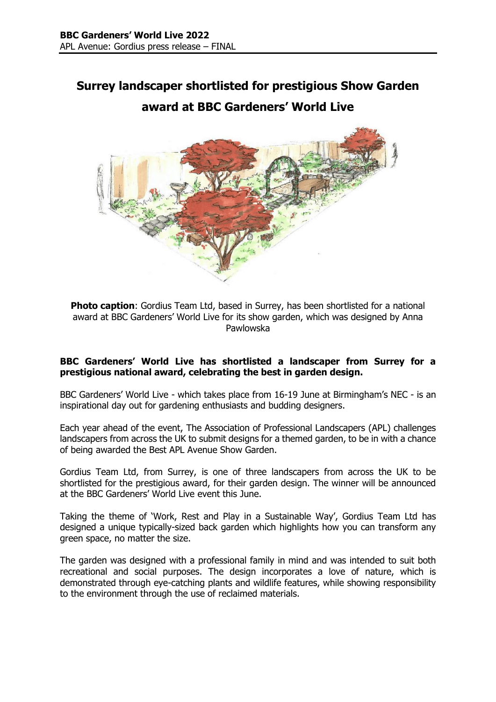# **Surrey landscaper shortlisted for prestigious Show Garden award at BBC Gardeners' World Live**



**Photo caption**: Gordius Team Ltd, based in Surrey, has been shortlisted for a national award at BBC Gardeners' World Live for its show garden, which was designed by Anna Pawlowska

## **BBC Gardeners' World Live has shortlisted a landscaper from Surrey for a prestigious national award, celebrating the best in garden design.**

BBC Gardeners' World Live - which takes place from 16-19 June at Birmingham's NEC - is an inspirational day out for gardening enthusiasts and budding designers.

Each year ahead of the event, The Association of Professional Landscapers (APL) challenges landscapers from across the UK to submit designs for a themed garden, to be in with a chance of being awarded the Best APL Avenue Show Garden.

Gordius Team Ltd, from Surrey, is one of three landscapers from across the UK to be shortlisted for the prestigious award, for their garden design. The winner will be announced at the BBC Gardeners' World Live event this June.

Taking the theme of 'Work, Rest and Play in a Sustainable Way', Gordius Team Ltd has designed a unique typically-sized back garden which highlights how you can transform any green space, no matter the size.

The garden was designed with a professional family in mind and was intended to suit both recreational and social purposes. The design incorporates a love of nature, which is demonstrated through eye-catching plants and wildlife features, while showing responsibility to the environment through the use of reclaimed materials.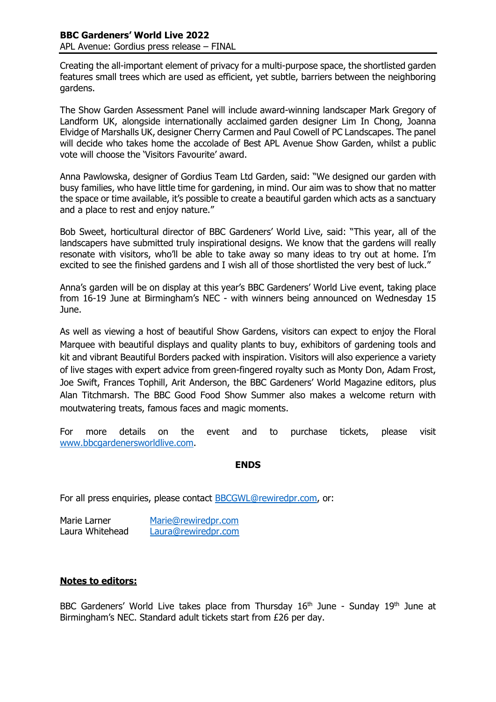Creating the all-important element of privacy for a multi-purpose space, the shortlisted garden features small trees which are used as efficient, yet subtle, barriers between the neighboring gardens.

The Show Garden Assessment Panel will include award-winning landscaper Mark Gregory of Landform UK, alongside internationally acclaimed garden designer Lim In Chong, Joanna Elvidge of Marshalls UK, designer Cherry Carmen and Paul Cowell of PC Landscapes. The panel will decide who takes home the accolade of Best APL Avenue Show Garden, whilst a public vote will choose the 'Visitors Favourite' award.

Anna Pawlowska, designer of Gordius Team Ltd Garden, said: "We designed our garden with busy families, who have little time for gardening, in mind. Our aim was to show that no matter the space or time available, it's possible to create a beautiful garden which acts as a sanctuary and a place to rest and enjoy nature."

Bob Sweet, horticultural director of BBC Gardeners' World Live, said: "This year, all of the landscapers have submitted truly inspirational designs. We know that the gardens will really resonate with visitors, who'll be able to take away so many ideas to try out at home. I'm excited to see the finished gardens and I wish all of those shortlisted the very best of luck."

Anna's garden will be on display at this year's BBC Gardeners' World Live event, taking place from 16-19 June at Birmingham's NEC - with winners being announced on Wednesday 15 June.

As well as viewing a host of beautiful Show Gardens, visitors can expect to enjoy the Floral Marquee with beautiful displays and quality plants to buy, exhibitors of gardening tools and kit and vibrant Beautiful Borders packed with inspiration. Visitors will also experience a variety of live stages with expert advice from green-fingered royalty such as Monty Don, Adam Frost, Joe Swift, Frances Tophill, Arit Anderson, the BBC Gardeners' World Magazine editors, plus Alan Titchmarsh. The BBC Good Food Show Summer also makes a welcome return with moutwatering treats, famous faces and magic moments.

For more details on the event and to purchase tickets, please visit [www.bbcgardenersworldlive.com.](http://www.bbcgardenersworldlive.com/)

### **ENDS**

For all press enquiries, please contact [BBCGWL@rewiredpr.com,](mailto:BBCGWL@rewiredpr.com) or:

| Marie Larner    | Marie@rewiredpr.com |
|-----------------|---------------------|
| Laura Whitehead | Laura@rewiredpr.com |

## **Notes to editors:**

BBC Gardeners' World Live takes place from Thursday 16<sup>th</sup> June - Sunday 19<sup>th</sup> June at Birmingham's NEC. Standard adult tickets start from £26 per day.